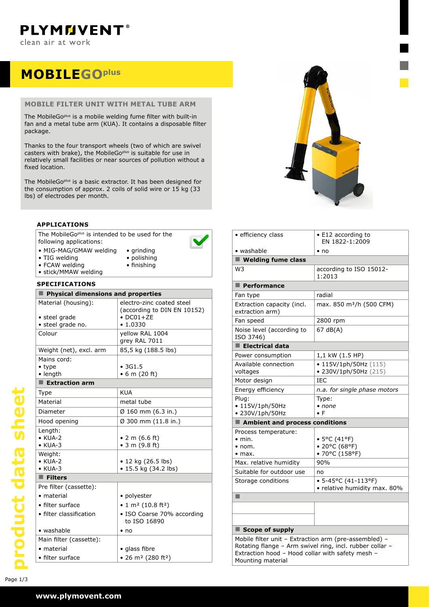## **MOBILEgoplus**

#### **mobile filter unit with METAL tube arm**

The MobileGo<sup>plus</sup> is a mobile welding fume filter with built-in fan and a metal tube arm (KUA). It contains a disposable filter package.

Thanks to the four transport wheels (two of which are swivel casters with brake), the MobileGo<sup>plus</sup> is suitable for use in relatively small facilities or near sources of pollution without a fixed location.

The MobileGo<sup>plus</sup> is a basic extractor. It has been designed for the consumption of approx. 2 coils of solid wire or 15 kg (33 lbs) of electrodes per month.

#### **applications**

The MobileGo<sup>plus</sup> is intended to be used for the following applications:



- • grinding • polishing
- FCAW welding
- finishing
- stick/MMAW welding

| <b>SPECIFICATIONS</b>                                     |                                                                                           |  |  |  |
|-----------------------------------------------------------|-------------------------------------------------------------------------------------------|--|--|--|
| Physical dimensions and properties                        |                                                                                           |  |  |  |
| Material (housing):<br>• steel grade<br>• steel grade no. | electro-zinc coated steel<br>(according to DIN EN 10152)<br>$\bullet$ DC01+ZE<br>• 1.0330 |  |  |  |
| Colour                                                    | yellow RAL 1004<br>grey RAL 7011                                                          |  |  |  |
| Weight (net), excl. arm                                   | 85,5 kg (188.5 lbs)                                                                       |  |  |  |
| Mains cord:<br>$\bullet$ type<br>• length                 | • 3G1.5<br>• 6 m (20 ft)                                                                  |  |  |  |
| <b>Extraction arm</b>                                     |                                                                                           |  |  |  |
| Type                                                      | <b>KUA</b>                                                                                |  |  |  |
| Material                                                  | metal tube                                                                                |  |  |  |
| Diameter                                                  | Ø 160 mm (6.3 in.)                                                                        |  |  |  |
| Hood opening                                              | Ø 300 mm (11.8 in.)                                                                       |  |  |  |
| Length:<br>$\bullet$ KUA-2<br>$\bullet$ KUA-3             | • 2 m $(6.6$ ft)<br>$\bullet$ 3 m (9.8 ft)                                                |  |  |  |
| Weight:<br>$\bullet$ KUA-2<br>$\bullet$ KUA-3             | • 12 kg (26.5 lbs)<br>• 15.5 kg (34.2 lbs)                                                |  |  |  |
| $\blacksquare$ Filters                                    |                                                                                           |  |  |  |
| Pre filter (cassette):                                    |                                                                                           |  |  |  |
| • material                                                | • polyester                                                                               |  |  |  |
| • filter surface                                          | • 1 m <sup>2</sup> (10.8 ft <sup>2</sup> )                                                |  |  |  |
| • filter classification                                   | • ISO Coarse 70% according<br>to ISO 16890                                                |  |  |  |
| • washable                                                | $\cdot$ no                                                                                |  |  |  |
| Main filter (cassette):                                   |                                                                                           |  |  |  |
| • material                                                | • glass fibre                                                                             |  |  |  |
| • filter surface                                          | • 26 m <sup>2</sup> (280 ft <sup>2</sup> )                                                |  |  |  |



| · efficiency class                                                                                                                                                                         | • E12 according to<br>EN 1822-1:2009                        |  |  |
|--------------------------------------------------------------------------------------------------------------------------------------------------------------------------------------------|-------------------------------------------------------------|--|--|
| • washable                                                                                                                                                                                 | $\cdot$ no                                                  |  |  |
| $\blacksquare$ Welding fume class                                                                                                                                                          |                                                             |  |  |
| W <sub>3</sub>                                                                                                                                                                             | according to ISO 15012-<br>1:2013                           |  |  |
| Performance                                                                                                                                                                                |                                                             |  |  |
| Fan type                                                                                                                                                                                   | radial                                                      |  |  |
| Extraction capacity (incl.<br>extraction arm)                                                                                                                                              | max. 850 m <sup>3</sup> /h (500 CFM)                        |  |  |
| Fan speed                                                                                                                                                                                  | 2800 rpm                                                    |  |  |
| Noise level (according to<br>ISO 3746)                                                                                                                                                     | 67 dB(A)                                                    |  |  |
| $\blacksquare$ Electrical data                                                                                                                                                             |                                                             |  |  |
| Power consumption                                                                                                                                                                          | 1,1 kW (1.5 HP)                                             |  |  |
| Available connection<br>voltages                                                                                                                                                           | • $115V/1ph/50Hz$ (115)<br>• 230V/1ph/50Hz (215)            |  |  |
| Motor design                                                                                                                                                                               | IEC                                                         |  |  |
| Energy efficiency                                                                                                                                                                          | n.a. for single phase motors                                |  |  |
| Plug:<br>• 115V/1ph/50Hz<br>• 230V/1ph/50Hz                                                                                                                                                | Type:<br>$\bullet$ none<br>$\bullet$ F                      |  |  |
| Ambient and process conditions                                                                                                                                                             |                                                             |  |  |
| Process temperature:<br>$\bullet$ min.<br>$\bullet$ nom.<br>$\bullet$ max.                                                                                                                 | • 5°C (41°F)<br>• 20°C (68°F)<br>• 70°C (158°F)             |  |  |
| Max. relative humidity                                                                                                                                                                     | 90%                                                         |  |  |
| Suitable for outdoor use                                                                                                                                                                   | no                                                          |  |  |
| Storage conditions                                                                                                                                                                         | $\bullet$ 5-45°C (41-113°F)<br>· relative humidity max. 80% |  |  |
| ■                                                                                                                                                                                          |                                                             |  |  |
|                                                                                                                                                                                            |                                                             |  |  |
|                                                                                                                                                                                            |                                                             |  |  |
| $\blacksquare$ Scope of supply                                                                                                                                                             |                                                             |  |  |
| Mobile filter unit - Extraction arm (pre-assembled) -<br>Rotating flange - Arm swivel ring, incl. rubber collar -<br>Extraction hood - Hood collar with safety mesh -<br>Mounting material |                                                             |  |  |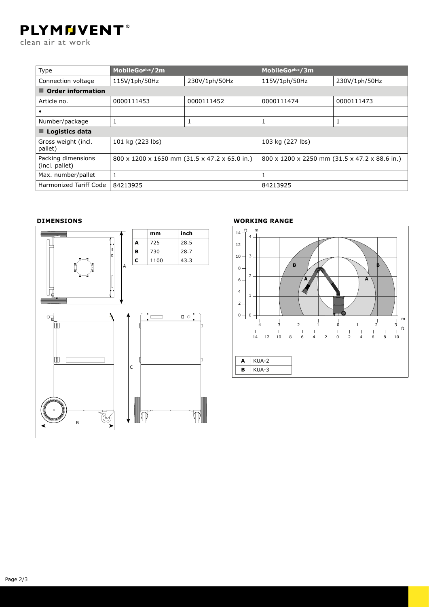# **PLYMMVENT®**

clean air at work

| Type                                 | MobileGo <sup>plus</sup> /2m                  |               | MobileGo <sup>plus</sup> /3m                  |               |  |  |
|--------------------------------------|-----------------------------------------------|---------------|-----------------------------------------------|---------------|--|--|
| Connection voltage                   | 115V/1ph/50Hz                                 | 230V/1ph/50Hz | 115V/1ph/50Hz                                 | 230V/1ph/50Hz |  |  |
| $\blacksquare$ Order information     |                                               |               |                                               |               |  |  |
| Article no.                          | 0000111453                                    | 0000111452    | 0000111474                                    | 0000111473    |  |  |
|                                      |                                               |               |                                               |               |  |  |
| Number/package                       | 1                                             |               | 1                                             | 1             |  |  |
| $\blacksquare$ Logistics data        |                                               |               |                                               |               |  |  |
| Gross weight (incl.<br>pallet)       | 101 kg (223 lbs)                              |               | 103 kg (227 lbs)                              |               |  |  |
| Packing dimensions<br>(incl. pallet) | 800 x 1200 x 1650 mm (31.5 x 47.2 x 65.0 in.) |               | 800 x 1200 x 2250 mm (31.5 x 47.2 x 88.6 in.) |               |  |  |
| Max. number/pallet                   |                                               |               | 1                                             |               |  |  |
| Harmonized Tariff Code               | 84213925                                      |               | 84213925                                      |               |  |  |

#### **Dimensions**





### **Working range**